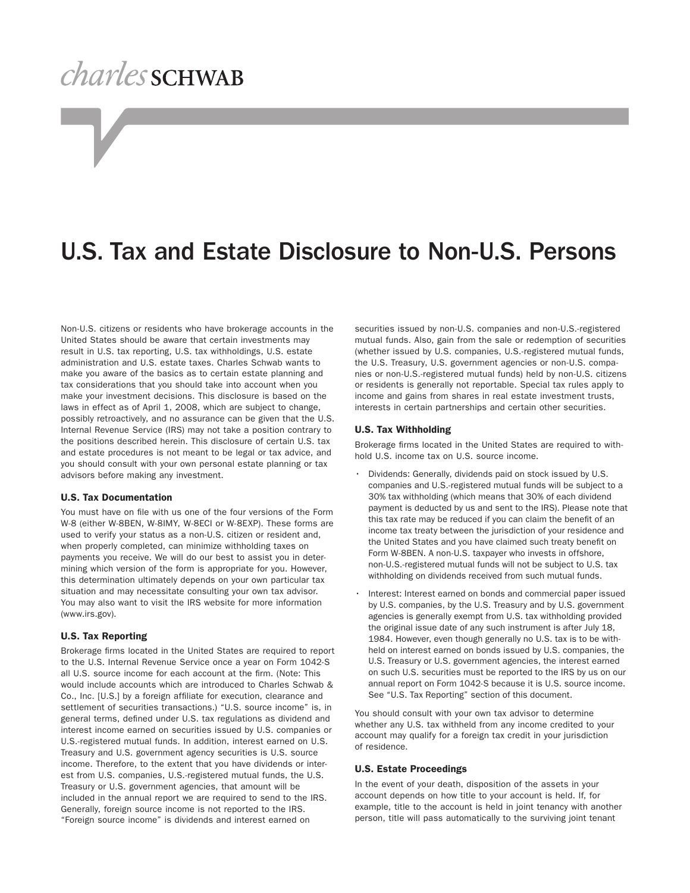# *charles* SCHWAB

### U.S. Tax and Estate Disclosure to Non-U.S. Persons

Non-U.S. citizens or residents who have brokerage accounts in the United States should be aware that certain investments may result in U.S. tax reporting, U.S. tax withholdings, U.S. estate administration and U.S. estate taxes. Charles Schwab wants to make you aware of the basics as to certain estate planning and tax considerations that you should take into account when you make your investment decisions. This disclosure is based on the laws in effect as of April 1, 2008, which are subject to change, possibly retroactively, and no assurance can be given that the U.S. Internal Revenue Service (IRS) may not take a position contrary to the positions described herein. This disclosure of certain U.S. tax and estate procedures is not meant to be legal or tax advice, and you should consult with your own personal estate planning or tax advisors before making any investment.

#### U.S. Tax Documentation

You must have on file with us one of the four versions of the Form W-8 (either W-8BEN, W-8IMY, W-8ECI or W-8EXP). These forms are used to verify your status as a non-U.S. citizen or resident and, when properly completed, can minimize withholding taxes on payments you receive. We will do our best to assist you in determining which version of the form is appropriate for you. However, this determination ultimately depends on your own particular tax situation and may necessitate consulting your own tax advisor. You may also want to visit the IRS website for more information (www.irs.gov).

#### U.S. Tax Reporting

Brokerage firms located in the United States are required to report to the U.S. Internal Revenue Service once a year on Form 1042-S all U.S. source income for each account at the firm. (Note: This would include accounts which are introduced to Charles Schwab & Co., Inc. [U.S.] by a foreign affiliate for execution, clearance and settlement of securities transactions.) "U.S. source income" is, in general terms, defined under U.S. tax regulations as dividend and interest income earned on securities issued by U.S. companies or U.S.-registered mutual funds. In addition, interest earned on U.S. Treasury and U.S. government agency securities is U.S. source income. Therefore, to the extent that you have dividends or interest from U.S. companies, U.S.-registered mutual funds, the U.S. Treasury or U.S. government agencies, that amount will be included in the annual report we are required to send to the IRS. Generally, foreign source income is not reported to the IRS. "Foreign source income" is dividends and interest earned on

securities issued by non-U.S. companies and non-U.S.-registered mutual funds. Also, gain from the sale or redemption of securities (whether issued by U.S. companies, U.S.-registered mutual funds, the U.S. Treasury, U.S. government agencies or non-U.S. companies or non-U.S.-registered mutual funds) held by non-U.S. citizens or residents is generally not reportable. Special tax rules apply to income and gains from shares in real estate investment trusts, interests in certain partnerships and certain other securities.

#### U.S. Tax Withholding

Brokerage firms located in the United States are required to withhold U.S. income tax on U.S. source income.

- Dividends: Generally, dividends paid on stock issued by U.S. companies and U.S.-registered mutual funds will be subject to a 30% tax withholding (which means that 30% of each dividend payment is deducted by us and sent to the IRS). Please note that this tax rate may be reduced if you can claim the benefit of an income tax treaty between the jurisdiction of your residence and the United States and you have claimed such treaty benefit on Form W-8BEN. A non-U.S. taxpayer who invests in offshore, non-U.S.-registered mutual funds will not be subject to U.S. tax withholding on dividends received from such mutual funds.
- Interest: Interest earned on bonds and commercial paper issued by U.S. companies, by the U.S. Treasury and by U.S. government agencies is generally exempt from U.S. tax withholding provided the original issue date of any such instrument is after July 18, 1984. However, even though generally no U.S. tax is to be withheld on interest earned on bonds issued by U.S. companies, the U.S. Treasury or U.S. government agencies, the interest earned on such U.S. securities must be reported to the IRS by us on our annual report on Form 1042-S because it is U.S. source income. See "U.S. Tax Reporting" section of this document.

You should consult with your own tax advisor to determine whether any U.S. tax withheld from any income credited to your account may qualify for a foreign tax credit in your jurisdiction of residence.

#### U.S. Estate Proceedings

In the event of your death, disposition of the assets in your account depends on how title to your account is held. If, for example, title to the account is held in joint tenancy with another person, title will pass automatically to the surviving joint tenant